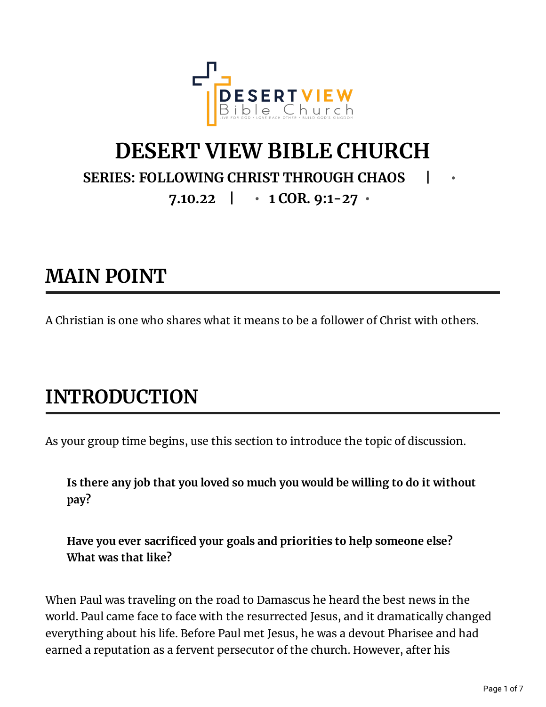

#### **DESERT VIEW BIBLE CHURCH SERIES: FOLLOWING CHRIST THROUGH CHAOS | • 7.10.22 | • 1 COR. 9:1-27 •**

### **MAIN POINT**

A Christian is one who shares what it means to be a follower of Christ with others.

# **INTRODUCTION**

As your group time begins, use this section to introduce the topic of discussion.

**Is there any job that you loved so much you would be willing to do it without pay?**

**Have you ever sacriced your goals and priorities to help someone else? What was that like?**

When Paul was traveling on the road to Damascus he heard the best news in the world. Paul came face to face with the resurrected Jesus, and it dramatically changed everything about his life. Before Paul met Jesus, he was a devout Pharisee and had earned a reputation as a fervent persecutor of the church. However, after his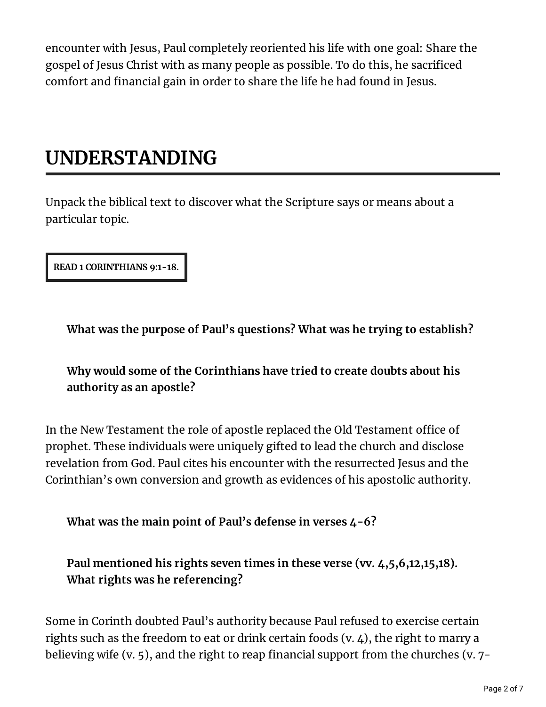encounter with Jesus, Paul completely reoriented his life with one goal: Share the gospel of Jesus Christ with as many people as possible. To do this, he sacrificed comfort and financial gain in order to share the life he had found in Jesus.

### **UNDERSTANDING**

Unpack the biblical text to discover what the Scripture says or means about a particular topic.

**READ 1 CORINTHIANS 9:1-18.**

**What was the purpose of Paul's questions? What was he trying to establish?**

**Why would some of the Corinthians have tried to create doubts about his authority as an apostle?**

In the New Testament the role of apostle replaced the Old Testament office of prophet. These individuals were uniquely gifted to lead the church and disclose revelation from God. Paul cites his encounter with the resurrected Jesus and the Corinthian's own conversion and growth as evidences of his apostolic authority.

**What was the main point of Paul's defense in verses 4-6?**

**Paul mentioned his rights seven times in these verse (vv. 4,5,6,12,15,18). What rights was he referencing?**

Some in Corinth doubted Paul's authority because Paul refused to exercise certain rights such as the freedom to eat or drink certain foods (v. 4), the right to marry a believing wife (v. 5), and the right to reap financial support from the churches (v.  $7-$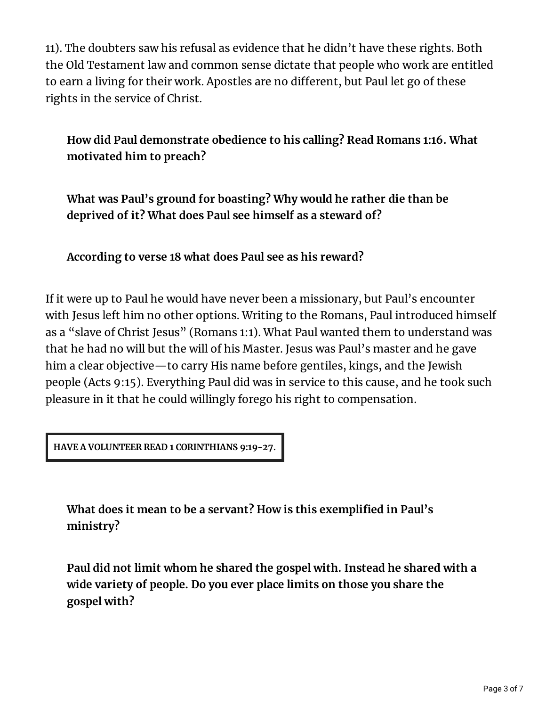11). The doubters saw his refusal as evidence that he didn't have these rights. Both the Old Testament law and common sense dictate that people who work are entitled to earn a living for their work. Apostles are no different, but Paul let go of these rights in the service of Christ.

**How did Paul demonstrate obedience to his calling? Read Romans 1:16. What motivated him to preach?**

**What was Paul's ground for boasting? Why would he rather die than be deprived of it? What does Paul see himself as a steward of?**

**According to verse 18 what does Paul see as his reward?**

If it were up to Paul he would have never been a missionary, but Paul's encounter with Jesus left him no other options. Writing to the Romans, Paul introduced himself as a "slave of Christ Jesus" (Romans 1:1). What Paul wanted them to understand was that he had no will but the will of his Master. Jesus was Paul's master and he gave him a clear objective—to carry His name before gentiles, kings, and the Jewish people (Acts 9:15). Everything Paul did was in service to this cause, and he took such pleasure in it that he could willingly forego his right to compensation.

**HAVE A VOLUNTEER READ 1 CORINTHIANS 9:19-27.**

**What does it mean to be a servant? How is this exemplied in Paul's ministry?**

**Paul did not limit whom he shared the gospel with. Instead he shared with a wide variety of people. Do you ever place limits on those you share the gospel with?**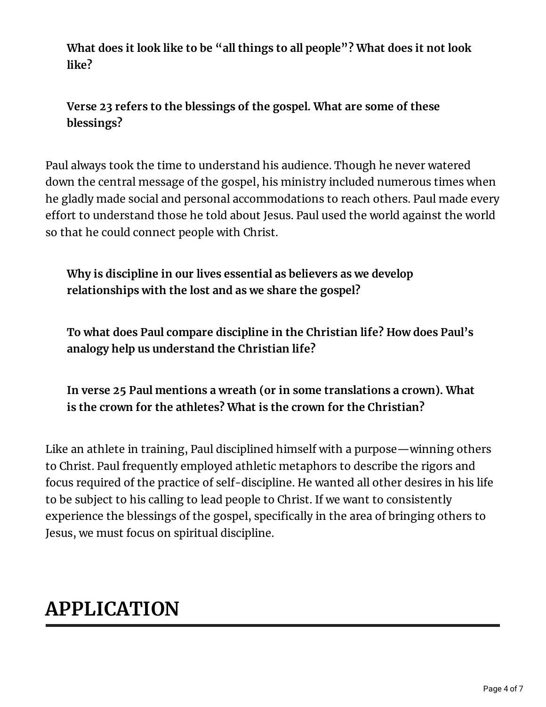**What does it look like to be "all things to all people"? What does it not look like?**

**Verse 23 refers to the blessings of the gospel. What are some of these blessings?**

Paul always took the time to understand his audience. Though he never watered down the central message of the gospel, his ministry included numerous times when he gladly made social and personal accommodations to reach others. Paul made every effort to understand those he told about Jesus. Paul used the world against the world so that he could connect people with Christ.

**Why is discipline in our lives essential as believers as we develop relationships with the lost and as we share the gospel?**

**To what does Paul compare discipline in the Christian life? How does Paul's analogy help us understand the Christian life?**

**In verse 25 Paul mentions a wreath (or in some translations a crown). What is the crown for the athletes? What is the crown for the Christian?**

Like an athlete in training, Paul disciplined himself with a purpose—winning others to Christ. Paul frequently employed athletic metaphors to describe the rigors and focus required of the practice of self-discipline. He wanted all other desires in his life to be subject to his calling to lead people to Christ. If we want to consistently experience the blessings of the gospel, specifically in the area of bringing others to Jesus, we must focus on spiritual discipline.

# **APPLICATION**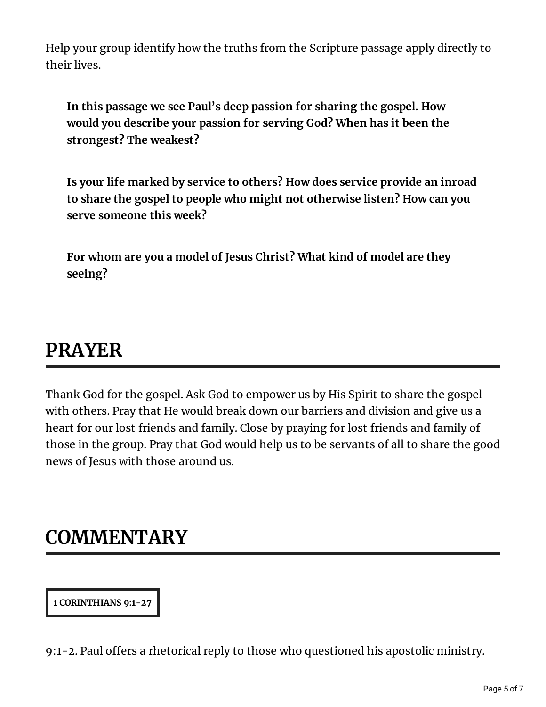Help your group identify how the truths from the Scripture passage apply directly to their lives.

**In this passage we see Paul's deep passion for sharing the gospel. How would you describe your passion for serving God? When has it been the strongest? The weakest?**

**Is your life marked by service to others? How does service provide an inroad to share the gospel to people who might not otherwise listen? How can you serve someone this week?**

**For whom are you a model of Jesus Christ? What kind of model are they seeing?**

#### **PRAYER**

Thank God for the gospel. Ask God to empower us by His Spirit to share the gospel with others. Pray that He would break down our barriers and division and give us a heart for our lost friends and family. Close by praying for lost friends and family of those in the group. Pray that God would help us to be servants of all to share the good news of Jesus with those around us.

#### **COMMENTARY**

**1 CORINTHIANS 9:1-27**

9:1-2. Paul offers a rhetorical reply to those who questioned his apostolic ministry.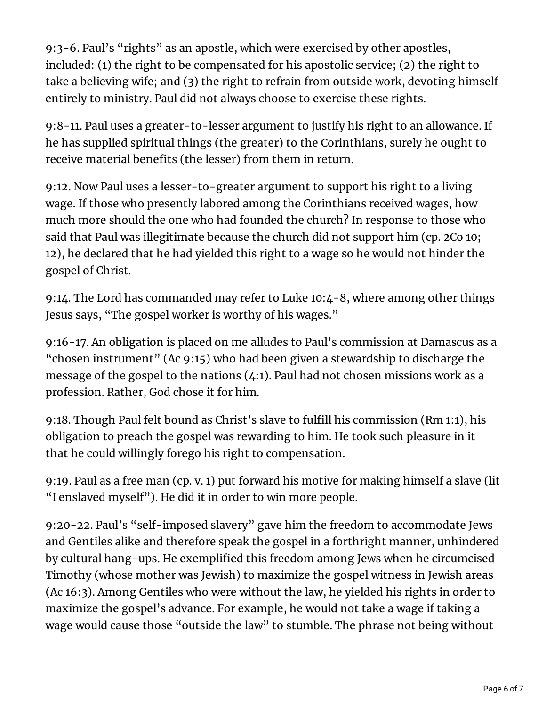9:3-6. Paul's "rights" as an apostle, which were exercised by other apostles, included: (1) the right to be compensated for his apostolic service; (2) the right to take a believing wife; and (3) the right to refrain from outside work, devoting himself entirely to ministry. Paul did not always choose to exercise these rights.

9:8-11. Paul uses a greater-to-lesser argument to justify his right to an allowance. If he has supplied spiritual things (the greater) to the Corinthians, surely he ought to receive material benefits (the lesser) from them in return.

9:12. Now Paul uses a lesser-to-greater argument to support his right to a living wage. If those who presently labored among the Corinthians received wages, how much more should the one who had founded the church? In response to those who said that Paul was illegitimate because the church did not support him (cp. 2Co 10; 12), he declared that he had yielded this right to a wage so he would not hinder the gospel of Christ.

9:14. The Lord has commanded may refer to Luke 10:4-8, where among other things Jesus says, "The gospel worker is worthy of his wages."

9:16-17. An obligation is placed on me alludes to Paul's commission at Damascus as a "chosen instrument" (Ac 9:15) who had been given a stewardship to discharge the message of the gospel to the nations (4:1). Paul had not chosen missions work as a profession. Rather, God chose it for him.

9:18. Though Paul felt bound as Christ's slave to fulfill his commission (Rm 1:1), his obligation to preach the gospel was rewarding to him. He took such pleasure in it that he could willingly forego his right to compensation.

9:19. Paul as a free man (cp. v. 1) put forward his motive for making himself a slave (lit "I enslaved myself"). He did it in order to win more people.

9:20-22. Paul's "self-imposed slavery" gave him the freedom to accommodate Jews and Gentiles alike and therefore speak the gospel in a forthright manner, unhindered by cultural hang-ups. He exemplified this freedom among Jews when he circumcised Timothy (whose mother was Jewish) to maximize the gospel witness in Jewish areas (Ac 16:3). Among Gentiles who were without the law, he yielded his rights in order to maximize the gospel's advance. For example, he would not take a wage if taking a wage would cause those "outside the law" to stumble. The phrase not being without